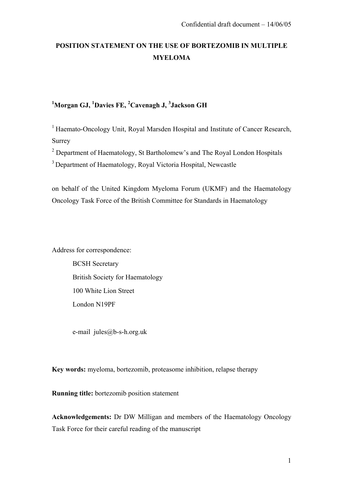# **POSITION STATEMENT ON THE USE OF BORTEZOMIB IN MULTIPLE MYELOMA**

## **1 Morgan GJ, 1 Davies FE, <sup>2</sup> Cavenagh J, 3 Jackson GH**

<sup>1</sup> Haemato-Oncology Unit, Royal Marsden Hospital and Institute of Cancer Research, Surrey

<sup>2</sup> Department of Haematology, St Bartholomew's and The Royal London Hospitals 3 Department of Haematology, Royal Victoria Hospital, Newcastle

on behalf of the United Kingdom Myeloma Forum (UKMF) and the Haematology Oncology Task Force of the British Committee for Standards in Haematology

Address for correspondence:

BCSH Secretary British Society for Haematology 100 White Lion Street London N19PF

e-mail jules@b-s-h.org.uk

**Key words:** myeloma, bortezomib, proteasome inhibition, relapse therapy

**Running title:** bortezomib position statement

**Acknowledgements:** Dr DW Milligan and members of the Haematology Oncology Task Force for their careful reading of the manuscript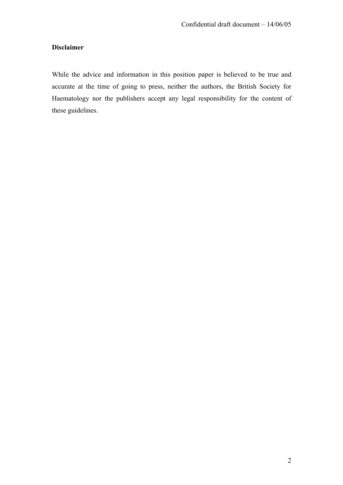## **Disclaimer**

While the advice and information in this position paper is believed to be true and accurate at the time of going to press, neither the authors, the British Society for Haematology nor the publishers accept any legal responsibility for the content of these guidelines.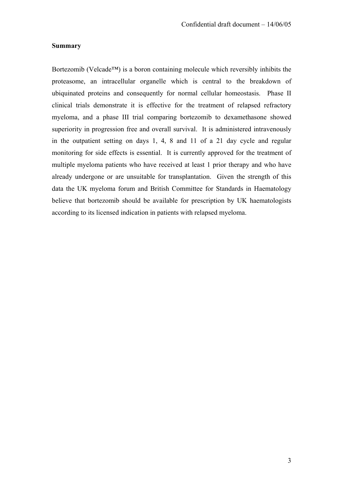#### **Summary**

Bortezomib (Velcade™) is a boron containing molecule which reversibly inhibits the proteasome, an intracellular organelle which is central to the breakdown of ubiquinated proteins and consequently for normal cellular homeostasis. Phase II clinical trials demonstrate it is effective for the treatment of relapsed refractory myeloma, and a phase III trial comparing bortezomib to dexamethasone showed superiority in progression free and overall survival. It is administered intravenously in the outpatient setting on days 1, 4, 8 and 11 of a 21 day cycle and regular monitoring for side effects is essential. It is currently approved for the treatment of multiple myeloma patients who have received at least 1 prior therapy and who have already undergone or are unsuitable for transplantation. Given the strength of this data the UK myeloma forum and British Committee for Standards in Haematology believe that bortezomib should be available for prescription by UK haematologists according to its licensed indication in patients with relapsed myeloma.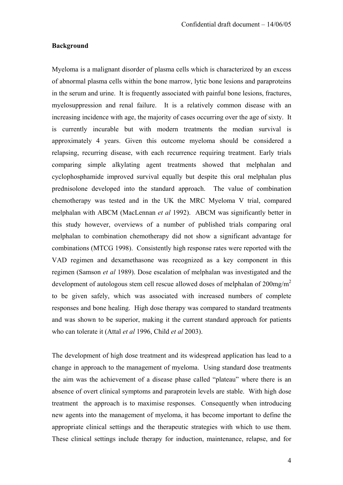#### **Background**

Myeloma is a malignant disorder of plasma cells which is characterized by an excess of abnormal plasma cells within the bone marrow, lytic bone lesions and paraproteins in the serum and urine. It is frequently associated with painful bone lesions, fractures, myelosuppression and renal failure. It is a relatively common disease with an increasing incidence with age, the majority of cases occurring over the age of sixty. It is currently incurable but with modern treatments the median survival is approximately 4 years. Given this outcome myeloma should be considered a relapsing, recurring disease, with each recurrence requiring treatment. Early trials comparing simple alkylating agent treatments showed that melphalan and cyclophosphamide improved survival equally but despite this oral melphalan plus prednisolone developed into the standard approach. The value of combination chemotherapy was tested and in the UK the MRC Myeloma V trial, compared melphalan with ABCM (MacLennan *et al* 1992). ABCM was significantly better in this study however, overviews of a number of published trials comparing oral melphalan to combination chemotherapy did not show a significant advantage for combinations (MTCG 1998). Consistently high response rates were reported with the VAD regimen and dexamethasone was recognized as a key component in this regimen (Samson *et al* 1989). Dose escalation of melphalan was investigated and the development of autologous stem cell rescue allowed doses of melphalan of  $200$ mg/m<sup>2</sup> to be given safely, which was associated with increased numbers of complete responses and bone healing. High dose therapy was compared to standard treatments and was shown to be superior, making it the current standard approach for patients who can tolerate it (Attal *et al* 1996, Child *et al* 2003).

The development of high dose treatment and its widespread application has lead to a change in approach to the management of myeloma. Using standard dose treatments the aim was the achievement of a disease phase called "plateau" where there is an absence of overt clinical symptoms and paraprotein levels are stable. With high dose treatment the approach is to maximise responses. Consequently when introducing new agents into the management of myeloma, it has become important to define the appropriate clinical settings and the therapeutic strategies with which to use them. These clinical settings include therapy for induction, maintenance, relapse, and for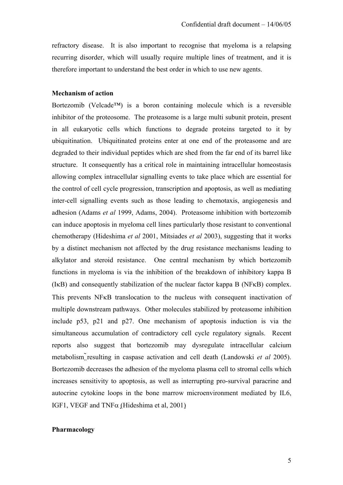refractory disease. It is also important to recognise that myeloma is a relapsing recurring disorder, which will usually require multiple lines of treatment, and it is therefore important to understand the best order in which to use new agents.

### **Mechanism of action**

Bortezomib (Velcade™) is a boron containing molecule which is a reversible inhibitor of the proteosome. The proteasome is a large multi subunit protein, present in all eukaryotic cells which functions to degrade proteins targeted to it by ubiquitination. Ubiquitinated proteins enter at one end of the proteasome and are degraded to their individual peptides which are shed from the far end of its barrel like structure. It consequently has a critical role in maintaining intracellular homeostasis allowing complex intracellular signalling events to take place which are essential for the control of cell cycle progression, transcription and apoptosis, as well as mediating inter-cell signalling events such as those leading to chemotaxis, angiogenesis and adhesion (Adams *et al* 1999, Adams, 2004). Proteasome inhibition with bortezomib can induce apoptosis in myeloma cell lines particularly those resistant to conventional chemotherapy (Hideshima *et al* 2001, Mitsiades *et al* 2003), suggesting that it works by a distinct mechanism not affected by the drug resistance mechanisms leading to alkylator and steroid resistance. One central mechanism by which bortezomib functions in myeloma is via the inhibition of the breakdown of inhibitory kappa B (IκB) and consequently stabilization of the nuclear factor kappa B (NFκB) complex. This prevents NFκB translocation to the nucleus with consequent inactivation of multiple downstream pathways. Other molecules stabilized by proteasome inhibition include p53, p21 and p27. One mechanism of apoptosis induction is via the simultaneous accumulation of contradictory cell cycle regulatory signals. Recent reports also suggest that bortezomib may dysregulate intracellular calcium metabolism resulting in caspase activation and cell death (Landowski *et al* 2005). Bortezomib decreases the adhesion of the myeloma plasma cell to stromal cells which increases sensitivity to apoptosis, as well as interrupting pro-survival paracrine and autocrine cytokine loops in the bone marrow microenvironment mediated by IL6, IGF1, VEGF and TNF $\alpha$  (Hideshima et al, 2001)

#### **Pharmacology**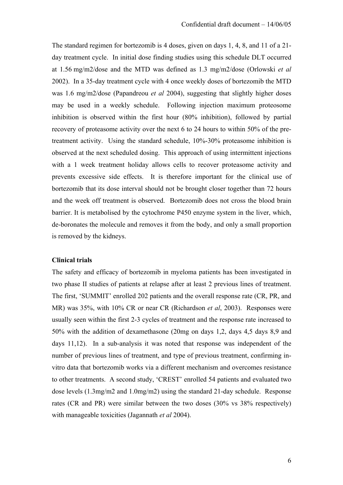The standard regimen for bortezomib is 4 doses, given on days 1, 4, 8, and 11 of a 21 day treatment cycle. In initial dose finding studies using this schedule DLT occurred at 1.56 mg/m2/dose and the MTD was defined as 1.3 mg/m2/dose (Orlowski *et al* 2002). In a 35-day treatment cycle with 4 once weekly doses of bortezomib the MTD was 1.6 mg/m2/dose (Papandreou *et al* 2004), suggesting that slightly higher doses may be used in a weekly schedule. Following injection maximum proteosome inhibition is observed within the first hour (80% inhibition), followed by partial recovery of proteasome activity over the next 6 to 24 hours to within 50% of the pretreatment activity. Using the standard schedule, 10%-30% proteasome inhibition is observed at the next scheduled dosing. This approach of using intermittent injections with a 1 week treatment holiday allows cells to recover proteasome activity and prevents excessive side effects. It is therefore important for the clinical use of bortezomib that its dose interval should not be brought closer together than 72 hours and the week off treatment is observed. Bortezomib does not cross the blood brain barrier. It is metabolised by the cytochrome P450 enzyme system in the liver, which, de-boronates the molecule and removes it from the body, and only a small proportion is removed by the kidneys.

#### **Clinical trials**

The safety and efficacy of bortezomib in myeloma patients has been investigated in two phase II studies of patients at relapse after at least 2 previous lines of treatment. The first, 'SUMMIT' enrolled 202 patients and the overall response rate (CR, PR, and MR) was 35%, with 10% CR or near CR (Richardson *et al*, 2003). Responses were usually seen within the first 2-3 cycles of treatment and the response rate increased to 50% with the addition of dexamethasone (20mg on days 1,2, days 4,5 days 8,9 and days 11,12). In a sub-analysis it was noted that response was independent of the number of previous lines of treatment, and type of previous treatment, confirming invitro data that bortezomib works via a different mechanism and overcomes resistance to other treatments. A second study, 'CREST' enrolled 54 patients and evaluated two dose levels (1.3mg/m2 and 1.0mg/m2) using the standard 21-day schedule. Response rates (CR and PR) were similar between the two doses (30% vs 38% respectively) with manageable toxicities (Jagannath *et al* 2004).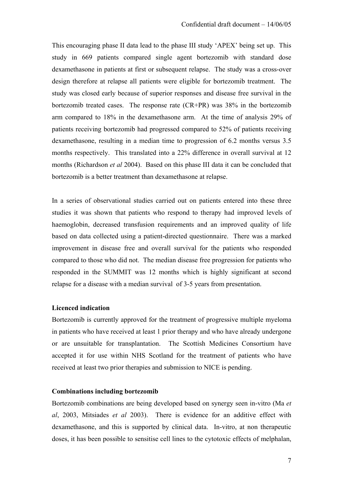This encouraging phase II data lead to the phase III study 'APEX' being set up. This study in 669 patients compared single agent bortezomib with standard dose dexamethasone in patients at first or subsequent relapse. The study was a cross-over design therefore at relapse all patients were eligible for bortezomib treatment. The study was closed early because of superior responses and disease free survival in the bortezomib treated cases. The response rate (CR+PR) was 38% in the bortezomib arm compared to 18% in the dexamethasone arm. At the time of analysis 29% of patients receiving bortezomib had progressed compared to 52% of patients receiving dexamethasone, resulting in a median time to progression of 6.2 months versus 3.5 months respectively. This translated into a 22% difference in overall survival at 12 months (Richardson *et al* 2004). Based on this phase III data it can be concluded that bortezomib is a better treatment than dexamethasone at relapse.

In a series of observational studies carried out on patients entered into these three studies it was shown that patients who respond to therapy had improved levels of haemoglobin, decreased transfusion requirements and an improved quality of life based on data collected using a patient-directed questionnaire. There was a marked improvement in disease free and overall survival for the patients who responded compared to those who did not. The median disease free progression for patients who responded in the SUMMIT was 12 months which is highly significant at second relapse for a disease with a median survival of 3-5 years from presentation.

## **Licenced indication**

Bortezomib is currently approved for the treatment of progressive multiple myeloma in patients who have received at least 1 prior therapy and who have already undergone or are unsuitable for transplantation. The Scottish Medicines Consortium have accepted it for use within NHS Scotland for the treatment of patients who have received at least two prior therapies and submission to NICE is pending.

#### **Combinations including bortezomib**

Bortezomib combinations are being developed based on synergy seen in-vitro (Ma *et al*, 2003, Mitsiades *et al* 2003). There is evidence for an additive effect with dexamethasone, and this is supported by clinical data. In-vitro, at non therapeutic doses, it has been possible to sensitise cell lines to the cytotoxic effects of melphalan,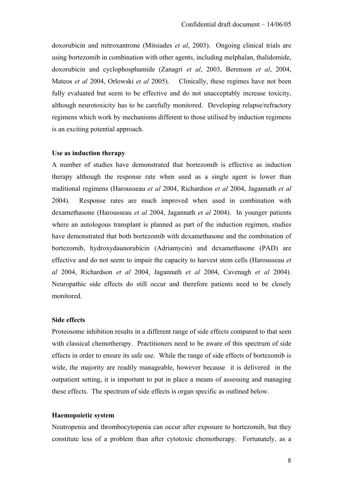doxorubicin and mitroxantrone (Mitsiades *et al*, 2003). Ongoing clinical trials are using bortezomib in combination with other agents, including melphalan, thalidomide, doxorubicin and cyclophosphamide (Zanagri *et al*, 2003, Berenson *et al*, 2004, Mateos *et al* 2004, Orlowski *et al* 2005). Clinically, these regimes have not been fully evaluated but seem to be effective and do not unacceptably increase toxicity, although neurotoxicity has to be carefully monitored. Developing relapse/refractory regimens which work by mechanisms different to those utilised by induction regimens is an exciting potential approach.

#### **Use as induction therapy**

A number of studies have demonstrated that bortezomib is effective as induction therapy although the response rate when used as a single agent is lower than traditional regimens (Harousseau *et al* 2004, Richardson *et al* 2004, Jagannath *et al* 2004). Response rates are much improved when used in combination with dexamethasone (Harousseau *et al* 2004, Jagannath *et al* 2004). In younger patients where an autologous transplant is planned as part of the induction regimen, studies have demonstrated that both bortezomib with dexamethasone and the combination of bortezomib, hydroxydaunorubicin (Adriamycin) and dexamethasone (PAD) are effective and do not seem to impair the capacity to harvest stem cells (Harousseau *et al* 2004, Richardson *et al* 2004, Jagannath *et al* 2004, Cavenagh *et al* 2004). Neuropathic side effects do still occur and therefore patients need to be closely monitored.

#### **Side effects**

Proteosome inhibition results in a different range of side effects compared to that seen with classical chemotherapy. Practitioners need to be aware of this spectrum of side effects in order to ensure its safe use. While the range of side effects of bortezomib is wide, the majority are readily manageable, however because it is delivered in the outpatient setting, it is important to put in place a means of assessing and managing these effects. The spectrum of side effects is organ specific as outlined below.

#### **Haemopoietic system**

Neutropenia and thrombocytopenia can occur after exposure to bortezomib, but they constitute less of a problem than after cytotoxic chemotherapy. Fortunately, as a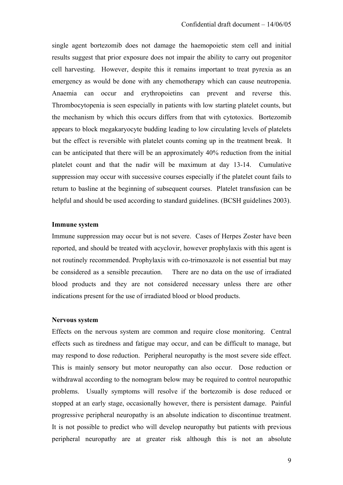single agent bortezomib does not damage the haemopoietic stem cell and initial results suggest that prior exposure does not impair the ability to carry out progenitor cell harvesting. However, despite this it remains important to treat pyrexia as an emergency as would be done with any chemotherapy which can cause neutropenia. Anaemia can occur and erythropoietins can prevent and reverse this. Thrombocytopenia is seen especially in patients with low starting platelet counts, but the mechanism by which this occurs differs from that with cytotoxics. Bortezomib appears to block megakaryocyte budding leading to low circulating levels of platelets but the effect is reversible with platelet counts coming up in the treatment break. It can be anticipated that there will be an approximately 40% reduction from the initial platelet count and that the nadir will be maximum at day 13-14. Cumulative suppression may occur with successive courses especially if the platelet count fails to return to basline at the beginning of subsequent courses. Platelet transfusion can be helpful and should be used according to standard guidelines. (BCSH guidelines 2003).

#### **Immune system**

Immune suppression may occur but is not severe. Cases of Herpes Zoster have been reported, and should be treated with acyclovir, however prophylaxis with this agent is not routinely recommended. Prophylaxis with co-trimoxazole is not essential but may be considered as a sensible precaution. There are no data on the use of irradiated blood products and they are not considered necessary unless there are other indications present for the use of irradiated blood or blood products.

#### **Nervous system**

Effects on the nervous system are common and require close monitoring. Central effects such as tiredness and fatigue may occur, and can be difficult to manage, but may respond to dose reduction. Peripheral neuropathy is the most severe side effect. This is mainly sensory but motor neuropathy can also occur. Dose reduction or withdrawal according to the nomogram below may be required to control neuropathic problems. Usually symptoms will resolve if the bortezomib is dose reduced or stopped at an early stage, occasionally however, there is persistent damage. Painful progressive peripheral neuropathy is an absolute indication to discontinue treatment. It is not possible to predict who will develop neuropathy but patients with previous peripheral neuropathy are at greater risk although this is not an absolute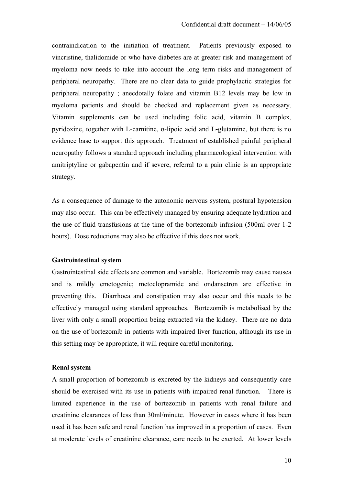contraindication to the initiation of treatment. Patients previously exposed to vincristine, thalidomide or who have diabetes are at greater risk and management of myeloma now needs to take into account the long term risks and management of peripheral neuropathy. There are no clear data to guide prophylactic strategies for peripheral neuropathy ; anecdotally folate and vitamin B12 levels may be low in myeloma patients and should be checked and replacement given as necessary. Vitamin supplements can be used including folic acid, vitamin B complex, pyridoxine, together with L-carnitine, α-lipoic acid and L**-**glutamine, but there is no evidence base to support this approach. Treatment of established painful peripheral neuropathy follows a standard approach including pharmacological intervention with amitriptyline or gabapentin and if severe, referral to a pain clinic is an appropriate strategy.

As a consequence of damage to the autonomic nervous system, postural hypotension may also occur. This can be effectively managed by ensuring adequate hydration and the use of fluid transfusions at the time of the bortezomib infusion (500ml over 1-2 hours). Dose reductions may also be effective if this does not work.

## **Gastrointestinal system**

Gastrointestinal side effects are common and variable. Bortezomib may cause nausea and is mildly emetogenic; metoclopramide and ondansetron are effective in preventing this. Diarrhoea and constipation may also occur and this needs to be effectively managed using standard approaches. Bortezomib is metabolised by the liver with only a small proportion being extracted via the kidney. There are no data on the use of bortezomib in patients with impaired liver function, although its use in this setting may be appropriate, it will require careful monitoring.

#### **Renal system**

A small proportion of bortezomib is excreted by the kidneys and consequently care should be exercised with its use in patients with impaired renal function. There is limited experience in the use of bortezomib in patients with renal failure and creatinine clearances of less than 30ml/minute. However in cases where it has been used it has been safe and renal function has improved in a proportion of cases. Even at moderate levels of creatinine clearance, care needs to be exerted. At lower levels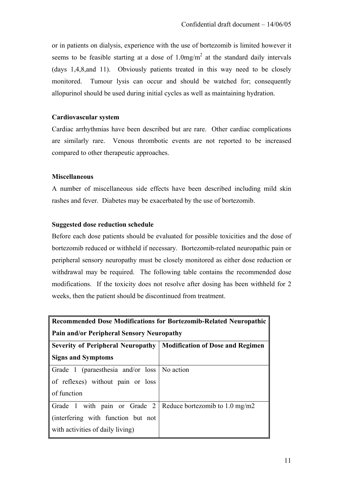or in patients on dialysis, experience with the use of bortezomib is limited however it seems to be feasible starting at a dose of  $1.0 \text{mg/m}^2$  at the standard daily intervals (days 1,4,8,and 11). Obviously patients treated in this way need to be closely monitored. Tumour lysis can occur and should be watched for; consequently allopurinol should be used during initial cycles as well as maintaining hydration.

## **Cardiovascular system**

Cardiac arrhythmias have been described but are rare. Other cardiac complications are similarly rare. Venous thrombotic events are not reported to be increased compared to other therapeutic approaches.

## **Miscellaneous**

A number of miscellaneous side effects have been described including mild skin rashes and fever. Diabetes may be exacerbated by the use of bortezomib.

## **Suggested dose reduction schedule**

Before each dose patients should be evaluated for possible toxicities and the dose of bortezomib reduced or withheld if necessary. Bortezomib-related neuropathic pain or peripheral sensory neuropathy must be closely monitored as either dose reduction or withdrawal may be required. The following table contains the recommended dose modifications. If the toxicity does not resolve after dosing has been withheld for 2 weeks, then the patient should be discontinued from treatment.

| <b>Recommended Dose Modifications for Bortezomib-Related Neuropathic</b><br><b>Pain and/or Peripheral Sensory Neuropathy</b> |                                          |  |
|------------------------------------------------------------------------------------------------------------------------------|------------------------------------------|--|
| <b>Severity of Peripheral Neuropathy</b>                                                                                     | <b>Modification of Dose and Regimen</b>  |  |
| <b>Signs and Symptoms</b>                                                                                                    |                                          |  |
| Grade 1 (paraesthesia and/or loss No action                                                                                  |                                          |  |
| of reflexes) without pain or loss                                                                                            |                                          |  |
| of function                                                                                                                  |                                          |  |
| Grade 1 with pain or Grade 2                                                                                                 | Reduce bortezomib to $1.0 \text{ mg/m2}$ |  |
| (interfering with function but not                                                                                           |                                          |  |
| with activities of daily living)                                                                                             |                                          |  |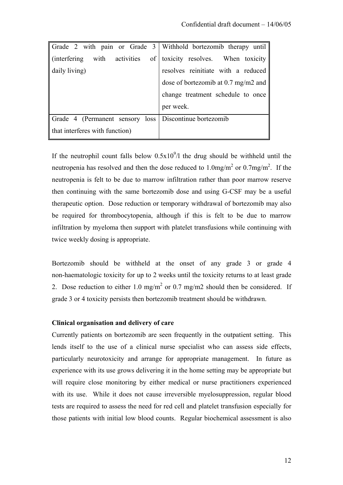| Grade 2 with pain or Grade 3 Withhold bortezomib therapy until |                                     |
|----------------------------------------------------------------|-------------------------------------|
| $\ $ (interfering with activities<br>$\sigma$                  | toxicity resolves. When toxicity    |
| daily living)                                                  | resolves reinitiate with a reduced  |
|                                                                | dose of bortezomib at 0.7 mg/m2 and |
|                                                                | change treatment schedule to once   |
|                                                                | per week.                           |
| Grade 4 (Permanent sensory loss   Discontinue bortezomib       |                                     |
| that interferes with function)                                 |                                     |

If the neutrophil count falls below  $0.5x10<sup>9</sup>/l$  the drug should be withheld until the neutropenia has resolved and then the dose reduced to  $1.0 \text{mg/m}^2$  or  $0.7 \text{mg/m}^2$ . If the neutropenia is felt to be due to marrow infiltration rather than poor marrow reserve then continuing with the same bortezomib dose and using G-CSF may be a useful therapeutic option. Dose reduction or temporary withdrawal of bortezomib may also be required for thrombocytopenia, although if this is felt to be due to marrow infiltration by myeloma then support with platelet transfusions while continuing with twice weekly dosing is appropriate.

Bortezomib should be withheld at the onset of any grade 3 or grade 4 non-haematologic toxicity for up to 2 weeks until the toxicity returns to at least grade 2. Dose reduction to either 1.0 mg/m<sup>2</sup> or 0.7 mg/m2 should then be considered. If grade 3 or 4 toxicity persists then bortezomib treatment should be withdrawn.

## **Clinical organisation and delivery of care**

Currently patients on bortezomib are seen frequently in the outpatient setting. This lends itself to the use of a clinical nurse specialist who can assess side effects, particularly neurotoxicity and arrange for appropriate management. In future as experience with its use grows delivering it in the home setting may be appropriate but will require close monitoring by either medical or nurse practitioners experienced with its use. While it does not cause irreversible myelosuppression, regular blood tests are required to assess the need for red cell and platelet transfusion especially for those patients with initial low blood counts. Regular biochemical assessment is also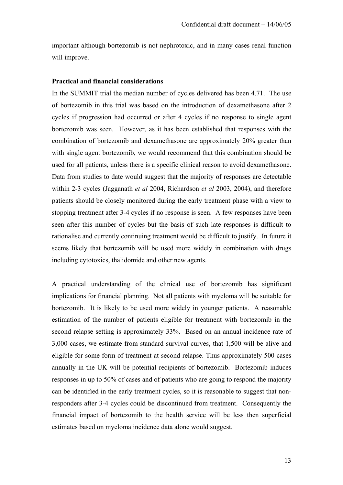important although bortezomib is not nephrotoxic, and in many cases renal function will improve.

## **Practical and financial considerations**

In the SUMMIT trial the median number of cycles delivered has been 4.71. The use of bortezomib in this trial was based on the introduction of dexamethasone after 2 cycles if progression had occurred or after 4 cycles if no response to single agent bortezomib was seen. However, as it has been established that responses with the combination of bortezomib and dexamethasone are approximately 20% greater than with single agent bortezomib, we would recommend that this combination should be used for all patients, unless there is a specific clinical reason to avoid dexamethasone. Data from studies to date would suggest that the majority of responses are detectable within 2-3 cycles (Jagganath *et al* 2004, Richardson *et al* 2003, 2004), and therefore patients should be closely monitored during the early treatment phase with a view to stopping treatment after 3-4 cycles if no response is seen. A few responses have been seen after this number of cycles but the basis of such late responses is difficult to rationalise and currently continuing treatment would be difficult to justify. In future it seems likely that bortezomib will be used more widely in combination with drugs including cytotoxics, thalidomide and other new agents.

A practical understanding of the clinical use of bortezomib has significant implications for financial planning. Not all patients with myeloma will be suitable for bortezomib. It is likely to be used more widely in younger patients. A reasonable estimation of the number of patients eligible for treatment with bortezomib in the second relapse setting is approximately 33%. Based on an annual incidence rate of 3,000 cases, we estimate from standard survival curves, that 1,500 will be alive and eligible for some form of treatment at second relapse. Thus approximately 500 cases annually in the UK will be potential recipients of bortezomib. Bortezomib induces responses in up to 50% of cases and of patients who are going to respond the majority can be identified in the early treatment cycles, so it is reasonable to suggest that nonresponders after 3-4 cycles could be discontinued from treatment. Consequently the financial impact of bortezomib to the health service will be less then superficial estimates based on myeloma incidence data alone would suggest.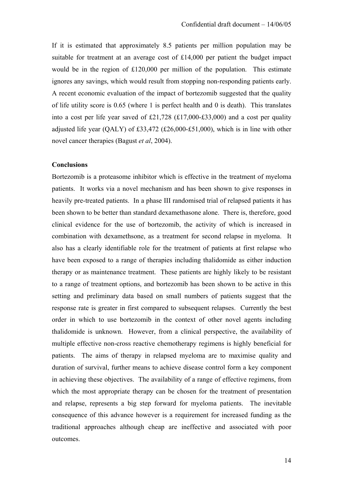If it is estimated that approximately 8.5 patients per million population may be suitable for treatment at an average cost of £14,000 per patient the budget impact would be in the region of £120,000 per million of the population. This estimate ignores any savings, which would result from stopping non-responding patients early. A recent economic evaluation of the impact of bortezomib suggested that the quality of life utility score is 0.65 (where 1 is perfect health and 0 is death). This translates into a cost per life year saved of £21,728 (£17,000-£33,000) and a cost per quality adjusted life year (QALY) of £33,472 (£26,000-£51,000), which is in line with other novel cancer therapies (Bagust *et al*, 2004).

#### **Conclusions**

Bortezomib is a proteasome inhibitor which is effective in the treatment of myeloma patients. It works via a novel mechanism and has been shown to give responses in heavily pre-treated patients. In a phase III randomised trial of relapsed patients it has been shown to be better than standard dexamethasone alone. There is, therefore, good clinical evidence for the use of bortezomib, the activity of which is increased in combination with dexamethsone, as a treatment for second relapse in myeloma. It also has a clearly identifiable role for the treatment of patients at first relapse who have been exposed to a range of therapies including thalidomide as either induction therapy or as maintenance treatment. These patients are highly likely to be resistant to a range of treatment options, and bortezomib has been shown to be active in this setting and preliminary data based on small numbers of patients suggest that the response rate is greater in first compared to subsequent relapses. Currently the best order in which to use bortezomib in the context of other novel agents including thalidomide is unknown. However, from a clinical perspective, the availability of multiple effective non-cross reactive chemotherapy regimens is highly beneficial for patients. The aims of therapy in relapsed myeloma are to maximise quality and duration of survival, further means to achieve disease control form a key component in achieving these objectives. The availability of a range of effective regimens, from which the most appropriate therapy can be chosen for the treatment of presentation and relapse, represents a big step forward for myeloma patients. The inevitable consequence of this advance however is a requirement for increased funding as the traditional approaches although cheap are ineffective and associated with poor outcomes.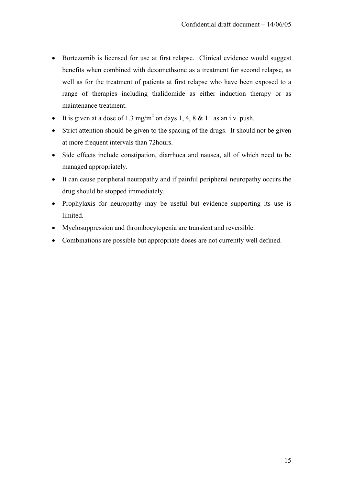- Bortezomib is licensed for use at first relapse. Clinical evidence would suggest benefits when combined with dexamethsone as a treatment for second relapse, as well as for the treatment of patients at first relapse who have been exposed to a range of therapies including thalidomide as either induction therapy or as maintenance treatment.
- It is given at a dose of 1.3 mg/m<sup>2</sup> on days 1, 4, 8 & 11 as an i.v. push.
- Strict attention should be given to the spacing of the drugs. It should not be given at more frequent intervals than 72hours.
- Side effects include constipation, diarrhoea and nausea, all of which need to be managed appropriately.
- It can cause peripheral neuropathy and if painful peripheral neuropathy occurs the drug should be stopped immediately.
- Prophylaxis for neuropathy may be useful but evidence supporting its use is limited.
- Myelosuppression and thrombocytopenia are transient and reversible.
- Combinations are possible but appropriate doses are not currently well defined.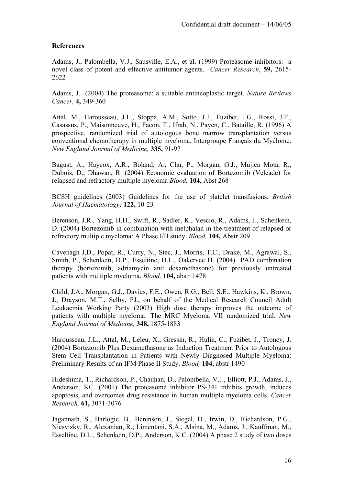## **References**

Adams, J., Palombella, V.J., Sausville, E.A., et al. (1999) Proteasome inhibitors: a novel class of potent and effective antitumor agents. *Cancer Research*, **59,** 2615- 2622

Adams, J. (2004) The proteasome: a suitable antineoplastic target. *Nature Reviews Cancer,* **4,** 349-360

Attal, M., Harousseau, J.L., Stoppa, A.M., Sotto, J.J., Fuzibet, J.G., Rossi, J.F., Casassus, P., Maisonneuve, H., Facon, T., Ifrah, N., Payen, C., Bataille, R. (1996) A prospective, randomized trial of autologous bone marrow transplantation versus conventional chemotherapy in multiple myeloma. Intergroupe Français du Myélome. *New England Journal of Medicine,* **335,** 91-97

Bagust, A., Haycox, A.R., Boland, A., Chu, P., Morgan, G.J., Mujica Mota, R., Dubois, D., Dhawan, R. (2004) Economic evaluation of Bortezomib (Velcade) for relapsed and refractory multiple myeloma *Blood,* **104,** Abst 268

BCSH guidelines (2003) Guidelines for the use of platelet transfusions. *British Journal of Haematology;* **122,** 10-23

Berenson, J.R., Yang, H.H., Swift, R., Sadler, K., Vescio, R., Adams, J., Schenkein, D. (2004) Bortezomib in combination with melphalan in the treatment of relapsed or refractory multiple myeloma: A Phase I/II study. *Blood,* **104,** Abstr 209

Cavenagh J,D., Popat, R., Curry, N., Stec, J., Morris, T.C., Drake, M., Agrawal, S., Smith, P., Schenkein, D.P., Esseltine, D.L., Oakervee H. (2004) PAD combination therapy (bortezomib, adriamycin and dexamethasone) for previously untreated patients with multiple myeloma. *Blood,* **104,** abstr 1478

Child, J.A., Morgan, G.J., Davies, F.E., Owen, R.G., Bell, S.E., Hawkins, K., Brown, J., Drayson, M.T., Selby, PJ., on behalf of the Medical Research Council Adult Leukaemia Working Party (2003) High dose therapy improves the outcome of patients with multiple myeloma: The MRC Myeloma VII randomized trial. *New England Journal of Medicine,* **348,** 1875-1883

Harousseau, J.L., Attal, M., Leleu, X., Gressin, R., Hulin, C., Fuzibet, J., Troncy, J. (2004) Bortezomib Plus Dexamethasone as Induction Treatment Prior to Autologous Stem Cell Transplantation in Patients with Newly Diagnosed Multiple Myeloma: Preliminary Results of an IFM Phase II Study. *Blood,* **104,** abstr 1490

Hideshima, T., Richardson, P., Chauhan, D., Palombella, V.J., Elliott, P.J., Adams, J., Anderson, KC. (2001) The proteasome inhibitor PS-341 inhibits growth, induces apoptosis, and overcomes drug resistance in human multiple myeloma cells. *Cancer Research,* **61,** 3071-3076

Jagannath, S., Barlogie, B., Berenson, J., Siegel, D., Irwin, D., Richardson, P.G., Niesvizky, R., Alexanian, R., Limentani, S.A., Alsina, M., Adams, J., Kauffman, M., Esseltine, D.L., Schenkein, D.P., Anderson, K.C. (2004) A phase 2 study of two doses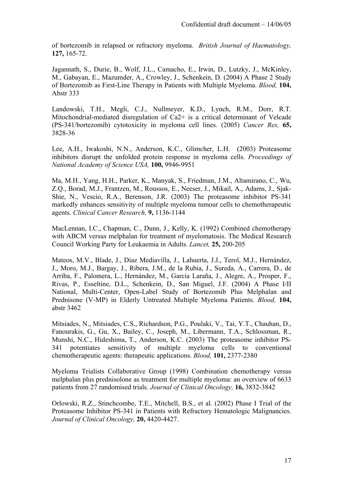of bortezomib in relapsed or refractory myeloma. *British Journal of Haematology,* **127,** 165-72.

Jagannath, S., Durie, B., Wolf, J.L., Camacho, E., Irwin, D., Lutzky, J., McKinley, M., Gabayan, E., Mazumder, A., Crowley, J., Schenkein, D. (2004) A Phase 2 Study of Bortezomib as First-Line Therapy in Patients with Multiple Myeloma. *Blood,* **104,** Abstr 333

Landowski, T.H., Megli, C.J., Nullmeyer, K.D., Lynch, R.M., Dorr, R.T. Mitochondrial-mediated disregulation of Ca2+ is a critical determinant of Velcade (PS-341/bortezomib) cytotoxicity in myeloma cell lines. (2005) *Cancer Res,* **65,** 3828-36

Lee, A.H., Iwakoshi, N.N., Anderson, K.C., Glimcher, L.H. (2003) Proteasome inhibitors disrupt the unfolded protein response in myeloma cells. *Proceedings of National Academy of Science USA,* **100,** 9946-9951

Ma, M.H., Yang, H.H., Parker, K., Manyak, S., Friedman, J.M., Altamirano, C., Wu, Z.Q., Borad, M.J., Frantzen, M., Roussos, E., Neeser, J., Mikail, A., Adams, J., Sjak-Shie, N., Vescio, R.A., Berenson, J.R. (2003) The proteasome inhibitor PS-341 markedly enhances sensitivity of multiple myeloma tumour cells to chemotherapeutic agents. *Clinical Cancer Research,* **9,** 1136-1144

MacLennan, I.C., Chapman, C., Dunn, J., Kelly, K. (1992) Combined chemotherapy with ABCM versus melphalan for treatment of myelomatosis. The Medical Research Council Working Party for Leukaemia in Adults. *Lancet,* **25,** 200-205

Mateos, M.V., Blade, J., Diaz Mediavilla, J., Lahuerta, J.J., Terol, M.J., Hernández, J., Moro, M.J., Bargay, J., Ribera, J.M., de la Rubia, J., Sureda, A., Carrera, D., de Arriba, F., Palomera, L., Hernández, M., García Laraña, J., Alegre, A., Prosper, F., Rivas, P., Esseltine, D.L., Schenkein, D., San Miguel, J.F. (2004) A Phase I/II National, Multi-Center, Open-Label Study of Bortezomib Plus Melphalan and Prednisone (V-MP) in Elderly Untreated Multiple Myeloma Patients. *Blood,* **104,** abstr 3462

Mitsiades, N., Mitsiades, C.S., Richardson, P.G., Poulaki, V., Tai, Y.T., Chauhan, D., Fanourakis, G., Gu, X., Bailey, C., Joseph, M., Libermann, T.A., Schlossman, R., Munshi, N.C., Hideshima, T., Anderson, K.C. (2003) The proteasome inhibitor PS-341 potentiates sensitivity of multiple myeloma cells to conventional chemotherapeutic agents: therapeutic applications. *Blood,* **101,** 2377-2380

Myeloma Trialists Collaborative Group (1998) Combination chemotherapy versus melphalan plus prednisolone as treatment for multiple myeloma: an overview of 6633 patients from 27 randomised trials. *Journal of Clinical Oncology,* **16,** 3832-3842

Orlowski, R.Z., Stinchcombe, T.E., Mitchell, B.S., et al. (2002) Phase I Trial of the Proteasome Inhibitor PS-341 in Patients with Refractory Hematologic Malignancies. *Journal of Clinical Oncology,* **20,** 4420-4427.